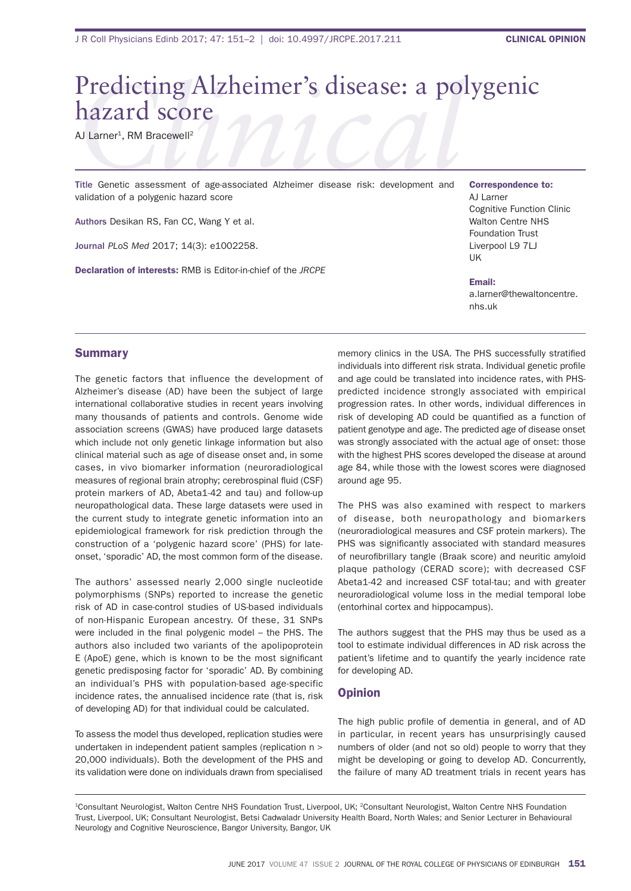# Predicting Alzheimer's disease: a polygenic hazard score

AJ Larner<sup>1</sup>, RM Bracewell<sup>2</sup>

Title genetic assessment of age-associated alzheimer disease risk: development and validation of a polygenic hazard score

Authors Desikan RS, Fan CC, Wang Y et al.

Journal *PLoS Med* 2017; 14(3): e1002258.

**Declaration of interests: RMB is Editor-in-chief of the JRCPE** 

Correspondence to: A<sub>J</sub> larner Cognitive function Clinic Walton Centre NHS **Foundation Trust** Liverpool L9 7LJ UK

#### Email:

a.larner@thewaltoncentre. nhs.uk

## **Summary**

The genetic factors that influence the development of Alzheimer's disease (AD) have been the subject of large international collaborative studies in recent years involving many thousands of patients and controls. Genome wide association screens (gWas) have produced large datasets which include not only genetic linkage information but also clinical material such as age of disease onset and, in some cases, in vivo biomarker information (neuroradiological measures of regional brain atrophy; cerebrospinal fluid (CSF) protein markers of AD, Abeta1-42 and tau) and follow-up neuropathological data. These large datasets were used in the current study to integrate genetic information into an epidemiological framework for risk prediction through the construction of a 'polygenic hazard score' (Phs) for lateonset, 'sporadic' AD, the most common form of the disease.

The authors' assessed nearly 2,000 single nucleotide polymorphisms (snPs) reported to increase the genetic risk of AD in case-control studies of US-based individuals of non-Hispanic European ancestry. Of these, 31 SNPs were included in the final polygenic model  $-$  the PHS. The authors also included two variants of the apolipoprotein E (ApoE) gene, which is known to be the most significant genetic predisposing factor for 'sporadic' AD. By combining an individual's Phs with population-based age-specific incidence rates, the annualised incidence rate (that is, risk of developing AD) for that individual could be calculated.

To assess the model thus developed, replication studies were undertaken in independent patient samples (replication n > 20,000 individuals). Both the development of the PHS and its validation were done on individuals drawn from specialised memory clinics in the USA. The PHS successfully stratified individuals into different risk strata. Individual genetic profile and age could be translated into incidence rates, with Phspredicted incidence strongly associated with empirical progression rates. in other words, individual differences in risk of developing AD could be quantified as a function of patient genotype and age. The predicted age of disease onset was strongly associated with the actual age of onset: those with the highest PHS scores developed the disease at around age 84, while those with the lowest scores were diagnosed around age 95.

The PHS was also examined with respect to markers of disease, both neuropathology and biomarkers (neuroradiological measures and CSF protein markers). The PHS was significantly associated with standard measures of neurofibrillary tangle (Braak score) and neuritic amyloid plaque pathology (CERAD score); with decreased CSF abeta1-42 and increased Csf total-tau; and with greater neuroradiological volume loss in the medial temporal lobe (entorhinal cortex and hippocampus).

The authors suggest that the PHS may thus be used as a tool to estimate individual differences in AD risk across the patient's lifetime and to quantify the yearly incidence rate for developing AD.

#### **Opinion**

The high public profile of dementia in general, and of AD in particular, in recent years has unsurprisingly caused numbers of older (and not so old) people to worry that they might be developing or going to develop AD. Concurrently, the failure of many AD treatment trials in recent years has

<sup>&</sup>lt;sup>1</sup>Consultant Neurologist, Walton Centre NHS Foundation Trust, Liverpool, UK; <sup>2</sup>Consultant Neurologist, Walton Centre NHS Foundation trust, liverpool, UK; Consultant neurologist, betsi Cadwaladr University health board, north Wales; and senior lecturer in behavioural Neurology and Cognitive Neuroscience, Bangor University, Bangor, UK